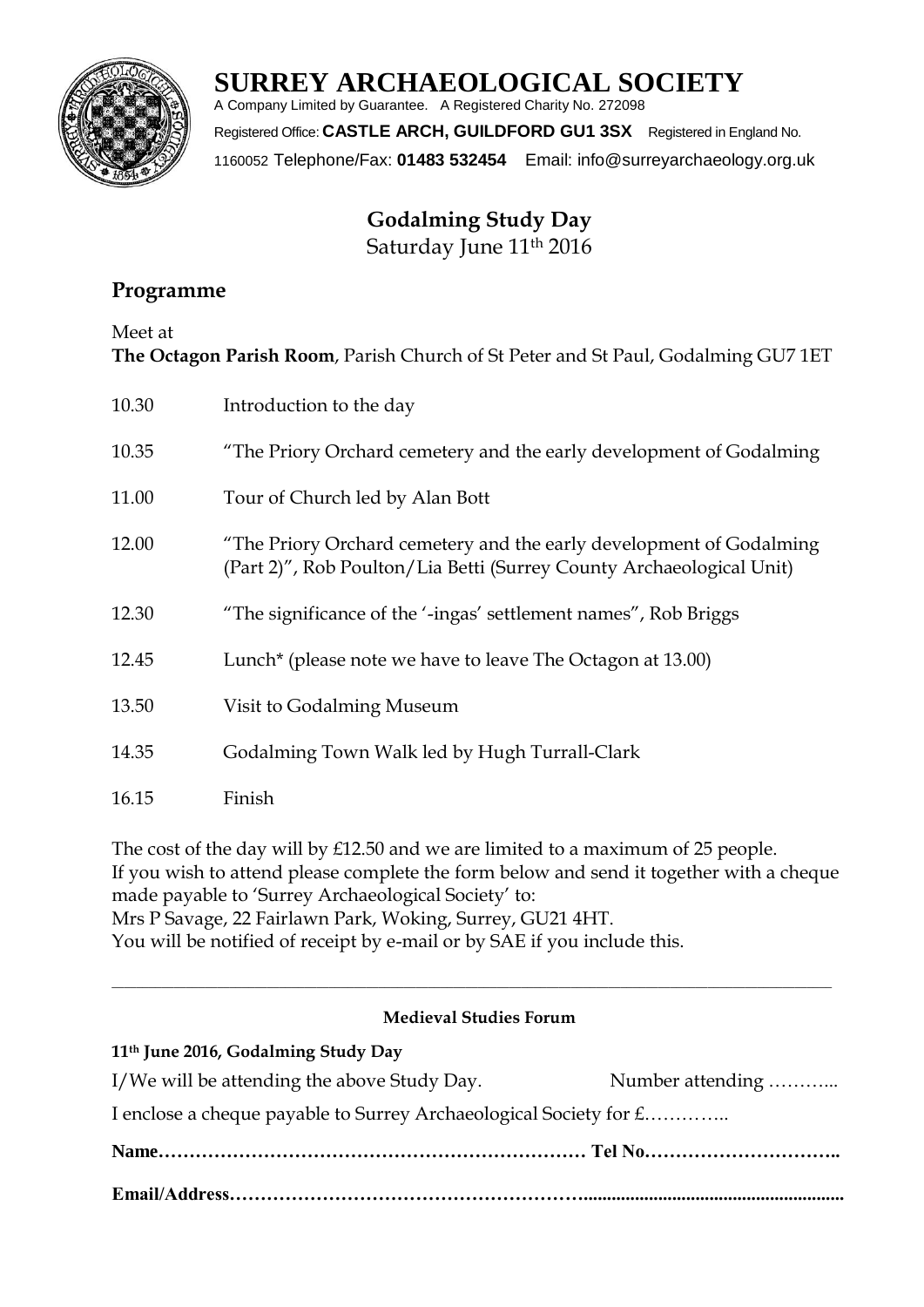

# **SURREY ARCHAEOLOGICAL SOCIETY**

A Company Limited by Guarantee. A Registered Charity No. 272098 Registered Office: **CASTLE ARCH, GUILDFORD GU1 3SX** Registered in England No. 1160052 Telephone/Fax: **01483 532454** Email: info@surreyarchaeology.org.uk

> **Godalming Study Day** Saturday June 11<sup>th</sup> 2016

# **Programme**

Meet at

**The Octagon Parish Room**, Parish Church of St Peter and St Paul, Godalming GU7 1ET

| 10.30 | Introduction to the day                                                                                                                     |
|-------|---------------------------------------------------------------------------------------------------------------------------------------------|
| 10.35 | "The Priory Orchard cemetery and the early development of Godalming                                                                         |
| 11.00 | Tour of Church led by Alan Bott                                                                                                             |
| 12.00 | "The Priory Orchard cemetery and the early development of Godalming<br>(Part 2)", Rob Poulton/Lia Betti (Surrey County Archaeological Unit) |
| 12.30 | "The significance of the '-ingas' settlement names", Rob Briggs                                                                             |
| 12.45 | Lunch <sup>*</sup> (please note we have to leave The Octagon at 13.00)                                                                      |
| 13.50 | Visit to Godalming Museum                                                                                                                   |
| 14.35 | Godalming Town Walk led by Hugh Turrall-Clark                                                                                               |
| 16.15 | Finish                                                                                                                                      |

The cost of the day will by £12.50 and we are limited to a maximum of 25 people. If you wish to attend please complete the form below and send it together with a cheque made payable to 'Surrey Archaeological Society' to: Mrs P Savage, 22 Fairlawn Park, Woking, Surrey, GU21 4HT. You will be notified of receipt by e-mail or by SAE if you include this.

## **Medieval Studies Forum**

 $\_$  ,  $\_$  ,  $\_$  ,  $\_$  ,  $\_$  ,  $\_$  ,  $\_$  ,  $\_$  ,  $\_$  ,  $\_$  ,  $\_$  ,  $\_$  ,  $\_$  ,  $\_$  ,  $\_$  ,  $\_$  ,  $\_$  ,  $\_$  ,  $\_$  ,  $\_$  ,  $\_$  ,  $\_$  ,  $\_$  ,  $\_$  ,  $\_$  ,  $\_$  ,  $\_$  ,  $\_$  ,  $\_$  ,  $\_$  ,  $\_$  ,  $\_$  ,  $\_$  ,  $\_$  ,  $\_$  ,  $\_$  ,  $\_$  ,

**11th June 2016, Godalming Study Day**

| I/We will be attending the above Study Day.                       | Number attending |  |  |
|-------------------------------------------------------------------|------------------|--|--|
| I enclose a cheque payable to Surrey Archaeological Society for £ |                  |  |  |
|                                                                   |                  |  |  |
|                                                                   |                  |  |  |
|                                                                   |                  |  |  |